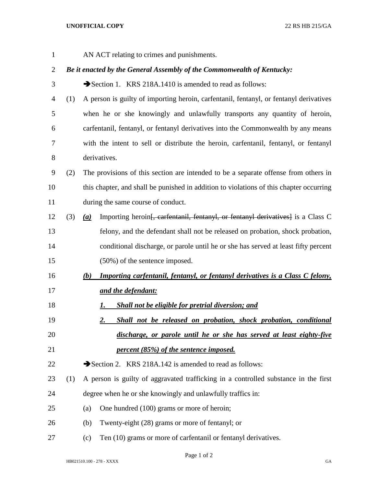## **UNOFFICIAL COPY** 22 RS HB 215/GA

AN ACT relating to crimes and punishments.

## *Be it enacted by the General Assembly of the Commonwealth of Kentucky:*

- 3 Section 1. KRS 218A.1410 is amended to read as follows:
- (1) A person is guilty of importing heroin, carfentanil, fentanyl, or fentanyl derivatives when he or she knowingly and unlawfully transports any quantity of heroin, carfentanil, fentanyl, or fentanyl derivatives into the Commonwealth by any means with the intent to sell or distribute the heroin, carfentanil, fentanyl, or fentanyl derivatives.
- (2) The provisions of this section are intended to be a separate offense from others in this chapter, and shall be punished in addition to violations of this chapter occurring during the same course of conduct.
- (3) *(a)* Importing heroin[, carfentanil, fentanyl, or fentanyl derivatives] is a Class C felony, and the defendant shall not be released on probation, shock probation, conditional discharge, or parole until he or she has served at least fifty percent (50%) of the sentence imposed.
- *(b) Importing carfentanil, fentanyl, or fentanyl derivatives is a Class C felony, and the defendant:*
- *1. Shall not be eligible for pretrial diversion; and*
- *2. Shall not be released on probation, shock probation, conditional discharge, or parole until he or she has served at least eighty-five percent (85%) of the sentence imposed.*

22 Section 2. KRS 218A.142 is amended to read as follows:

- (1) A person is guilty of aggravated trafficking in a controlled substance in the first degree when he or she knowingly and unlawfully traffics in:
- (a) One hundred (100) grams or more of heroin;
- (b) Twenty-eight (28) grams or more of fentanyl; or
- (c) Ten (10) grams or more of carfentanil or fentanyl derivatives.